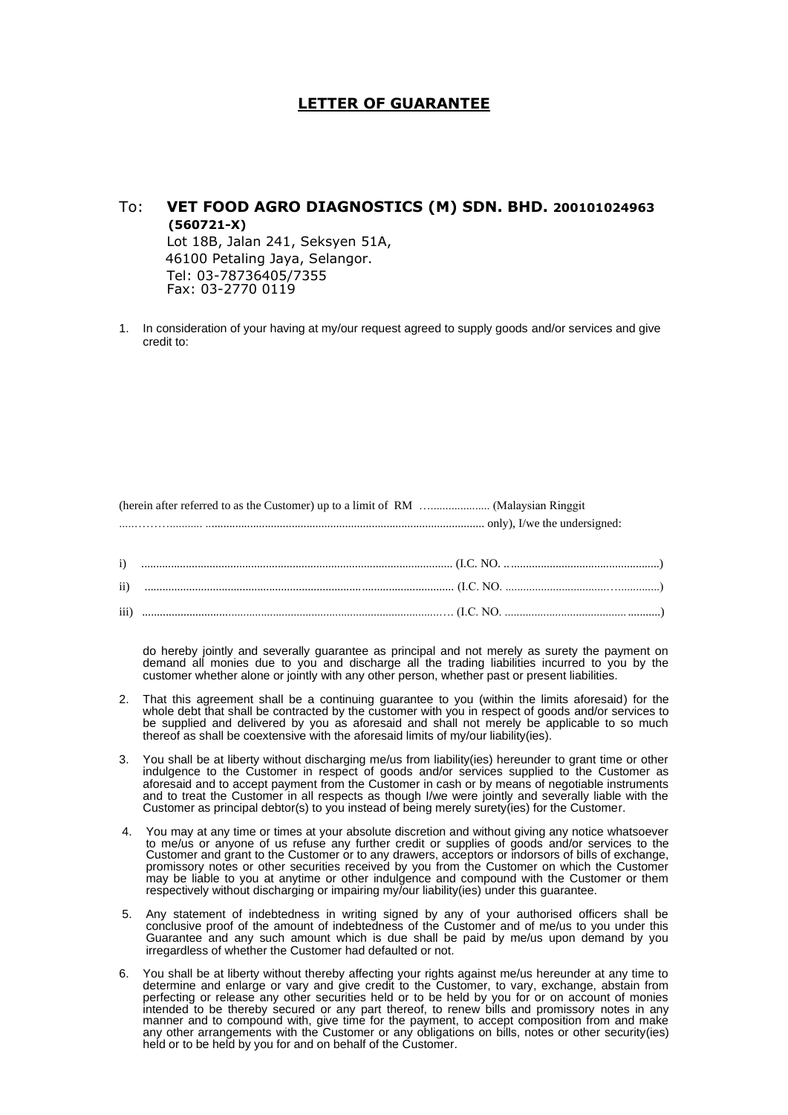## **LETTER OF GUARANTEE**

## To: **VET FOOD AGRO DIAGNOSTICS (M) SDN. BHD. 200101024963 (560721-X)** Lot 18B, Jalan 241, Seksyen 51A, 46100 Petaling Jaya, Selangor. Tel: 03-78736405/7355 Fax: 03-2770 0119

1. In consideration of your having at my/our request agreed to supply goods and/or services and give credit to:

(herein after referred to as the Customer) up to a limit of RM ….................... (Malaysian Ringgit .....………........... .............................................................................................. only), I/we the undersigned:

do hereby jointly and severally guarantee as principal and not merely as surety the payment on demand all monies due to you and discharge all the trading liabilities incurred to you by the customer whether alone or jointly with any other person, whether past or present liabilities.

- 2. That this agreement shall be a continuing guarantee to you (within the limits aforesaid) for the whole debt that shall be contracted by the customer with you in respect of goods and/or services to be supplied and delivered by you as aforesaid and shall not merely be applicable to so much thereof as shall be coextensive with the aforesaid limits of my/our liability(ies).
- 3. You shall be at liberty without discharging me/us from liability(ies) hereunder to grant time or other indulgence to the Customer in respect of goods and/or services supplied to the Customer as aforesaid and to accept payment from the Customer in cash or by means of negotiable instruments and to treat the Customer in all respects as though I/we were jointly and severally liable with the Customer as principal debtor(s) to you instead of being merely surety(ies) for the Customer.
- 4. You may at any time or times at your absolute discretion and without giving any notice whatsoever to me/us or anyone of us refuse any further credit or supplies of goods and/or services to the Customer and grant to the Customer or to any drawers, acceptors or indorsors of bills of exchange, promissory notes or other securities received by you from the Customer on which the Customer may be liable to you at anytime or other indulgence and compound with the Customer or them respectively without discharging or impairing my/our liability(ies) under this guarantee.
- 5. Any statement of indebtedness in writing signed by any of your authorised officers shall be conclusive proof of the amount of indebtedness of the Customer and of me/us to you under this Guarantee and any such amount which is due shall be paid by me/us upon demand by you irregardless of whether the Customer had defaulted or not.
- 6. You shall be at liberty without thereby affecting your rights against me/us hereunder at any time to determine and enlarge or vary and give credit to the Customer, to vary, exchange, abstain from perfecting or release any other securities held or to be held by you for or on account of monies intended to be thereby secured or any part thereof, to renew bills and promissory notes in any manner and to compound with, give time for the payment, to accept composition from and make any other arrangements with the Customer or any obligations on bills, notes or other security(ies) held or to be held by you for and on behalf of the Customer.